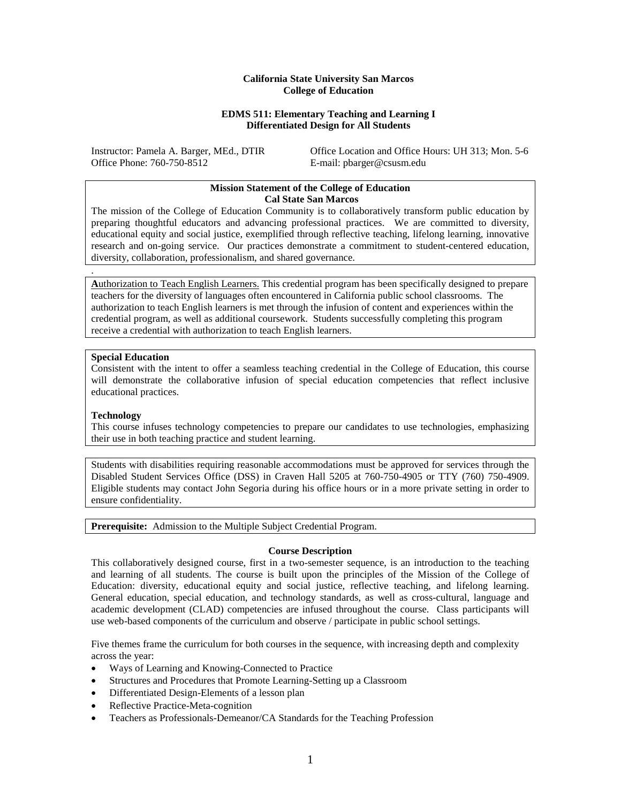#### **California State University San Marcos College of Education**

#### **EDMS 511: Elementary Teaching and Learning I Differentiated Design for All Students**

Instructor: Pamela A. Barger, MEd., DTIR Office Location and Office Hours: UH 313; Mon. 5-6<br>Office Phone: 760-750-8512 E-mail: pbarger@csusm.edu E-mail: pbarger@csusm.edu

#### **Mission Statement of the College of Education Cal State San Marcos**

The mission of the College of Education Community is to collaboratively transform public education by preparing thoughtful educators and advancing professional practices. We are committed to diversity, educational equity and social justice, exemplified through reflective teaching, lifelong learning, innovative research and on-going service. Our practices demonstrate a commitment to student-centered education, diversity, collaboration, professionalism, and shared governance.

**A**uthorization to Teach English Learners. This credential program has been specifically designed to prepare teachers for the diversity of languages often encountered in California public school classrooms. The authorization to teach English learners is met through the infusion of content and experiences within the credential program, as well as additional coursework. Students successfully completing this program receive a credential with authorization to teach English learners.

#### **Special Education**

Consistent with the intent to offer a seamless teaching credential in the College of Education, this course will demonstrate the collaborative infusion of special education competencies that reflect inclusive educational practices.

#### **Technology**

.

This course infuses technology competencies to prepare our candidates to use technologies, emphasizing their use in both teaching practice and student learning.

Students with disabilities requiring reasonable accommodations must be approved for services through the Disabled Student Services Office (DSS) in Craven Hall 5205 at 760-750-4905 or TTY (760) 750-4909. Eligible students may contact John Segoria during his office hours or in a more private setting in order to ensure confidentiality.

**Prerequisite:** Admission to the Multiple Subject Credential Program.

#### **Course Description**

This collaboratively designed course, first in a two-semester sequence, is an introduction to the teaching and learning of all students. The course is built upon the principles of the Mission of the College of Education: diversity, educational equity and social justice, reflective teaching, and lifelong learning. General education, special education, and technology standards, as well as cross-cultural, language and academic development (CLAD) competencies are infused throughout the course. Class participants will use web-based components of the curriculum and observe / participate in public school settings.

Five themes frame the curriculum for both courses in the sequence, with increasing depth and complexity across the year:

- Ways of Learning and Knowing-Connected to Practice
- Structures and Procedures that Promote Learning-Setting up a Classroom
- Differentiated Design-Elements of a lesson plan
- Reflective Practice-Meta-cognition
- Teachers as Professionals-Demeanor/CA Standards for the Teaching Profession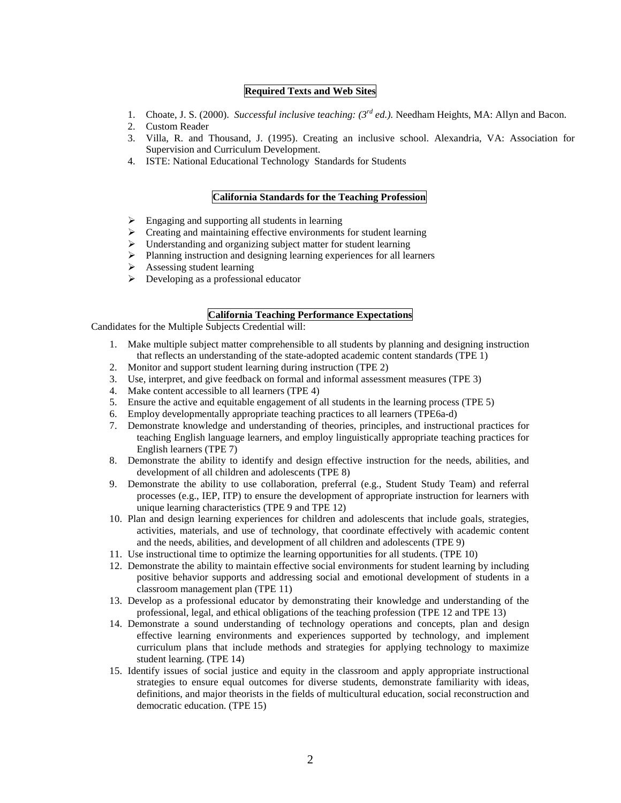# **Required Texts and Web Sites**

- 1. Choate, J. S. (2000). *Successful inclusive teaching: (3rd ed.).* Needham Heights, MA: Allyn and Bacon.
- 2. Custom Reader
- 3. Villa, R. and Thousand, J. (1995). Creating an inclusive school. Alexandria, VA: Association for Supervision and Curriculum Development.
- 4. ISTE: National Educational Technology Standards for Students

## **California Standards for the Teaching Profession**

- $\triangleright$  Engaging and supporting all students in learning
- $\triangleright$  Creating and maintaining effective environments for student learning
- Understanding and organizing subject matter for student learning
- $\triangleright$  Planning instruction and designing learning experiences for all learners
- $\triangleright$  Assessing student learning
- $\triangleright$  Developing as a professional educator

## **California Teaching Performance Expectations**

Candidates for the Multiple Subjects Credential will:

- 1. Make multiple subject matter comprehensible to all students by planning and designing instruction that reflects an understanding of the state-adopted academic content standards (TPE 1)
- 2. Monitor and support student learning during instruction (TPE 2)
- 3. Use, interpret, and give feedback on formal and informal assessment measures (TPE 3)
- 4. Make content accessible to all learners (TPE 4)
- 5. Ensure the active and equitable engagement of all students in the learning process (TPE 5)
- 6. Employ developmentally appropriate teaching practices to all learners (TPE6a-d)
- 7. Demonstrate knowledge and understanding of theories, principles, and instructional practices for teaching English language learners, and employ linguistically appropriate teaching practices for English learners (TPE 7)
- 8. Demonstrate the ability to identify and design effective instruction for the needs, abilities, and development of all children and adolescents (TPE 8)
- 9. Demonstrate the ability to use collaboration, preferral (e.g., Student Study Team) and referral processes (e.g., IEP, ITP) to ensure the development of appropriate instruction for learners with unique learning characteristics (TPE 9 and TPE 12)
- 10. Plan and design learning experiences for children and adolescents that include goals, strategies, activities, materials, and use of technology, that coordinate effectively with academic content and the needs, abilities, and development of all children and adolescents (TPE 9)
- 11. Use instructional time to optimize the learning opportunities for all students. (TPE 10)
- 12. Demonstrate the ability to maintain effective social environments for student learning by including positive behavior supports and addressing social and emotional development of students in a classroom management plan (TPE 11)
- 13. Develop as a professional educator by demonstrating their knowledge and understanding of the professional, legal, and ethical obligations of the teaching profession (TPE 12 and TPE 13)
- 14. Demonstrate a sound understanding of technology operations and concepts, plan and design effective learning environments and experiences supported by technology, and implement curriculum plans that include methods and strategies for applying technology to maximize student learning. (TPE 14)
- 15. Identify issues of social justice and equity in the classroom and apply appropriate instructional strategies to ensure equal outcomes for diverse students, demonstrate familiarity with ideas, definitions, and major theorists in the fields of multicultural education, social reconstruction and democratic education. (TPE 15)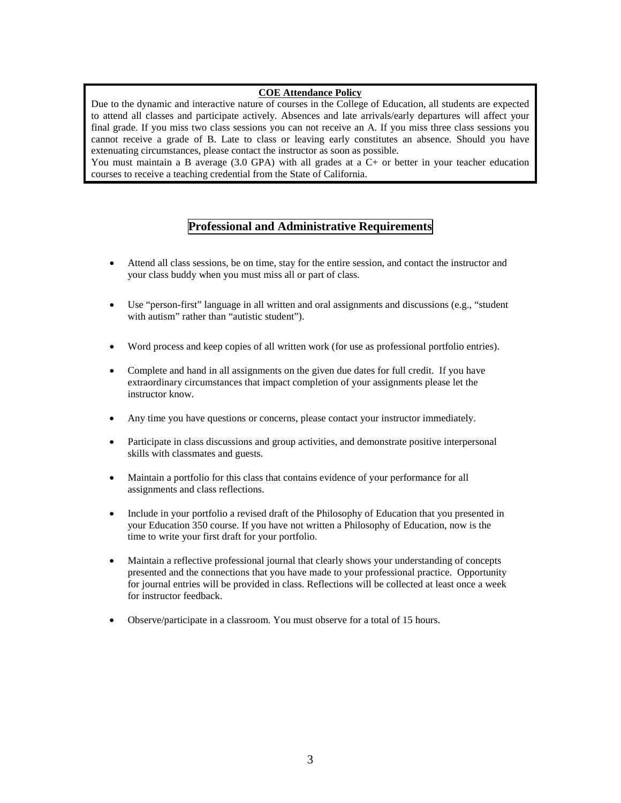## **COE Attendance Policy**

Due to the dynamic and interactive nature of courses in the College of Education, all students are expected to attend all classes and participate actively. Absences and late arrivals/early departures will affect your final grade. If you miss two class sessions you can not receive an A. If you miss three class sessions you cannot receive a grade of B. Late to class or leaving early constitutes an absence. Should you have extenuating circumstances, please contact the instructor as soon as possible.

You must maintain a B average (3.0 GPA) with all grades at a C+ or better in your teacher education courses to receive a teaching credential from the State of California.

# **Professional and Administrative Requirements**

- Attend all class sessions, be on time, stay for the entire session, and contact the instructor and your class buddy when you must miss all or part of class.
- Use "person-first" language in all written and oral assignments and discussions (e.g., "student with autism" rather than "autistic student").
- Word process and keep copies of all written work (for use as professional portfolio entries).
- Complete and hand in all assignments on the given due dates for full credit. If you have extraordinary circumstances that impact completion of your assignments please let the instructor know.
- Any time you have questions or concerns, please contact your instructor immediately.
- Participate in class discussions and group activities, and demonstrate positive interpersonal skills with classmates and guests.
- Maintain a portfolio for this class that contains evidence of your performance for all assignments and class reflections.
- Include in your portfolio a revised draft of the Philosophy of Education that you presented in your Education 350 course. If you have not written a Philosophy of Education, now is the time to write your first draft for your portfolio.
- Maintain a reflective professional journal that clearly shows your understanding of concepts presented and the connections that you have made to your professional practice. Opportunity for journal entries will be provided in class. Reflections will be collected at least once a week for instructor feedback.
- Observe/participate in a classroom. You must observe for a total of 15 hours.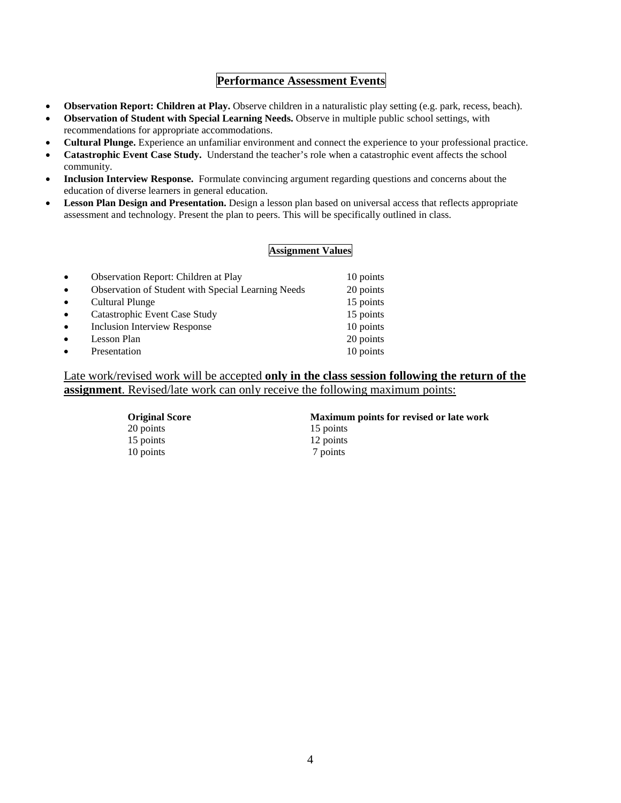# **Performance Assessment Events**

- **Observation Report: Children at Play.** Observe children in a naturalistic play setting (e.g. park, recess, beach).
- **Observation of Student with Special Learning Needs.** Observe in multiple public school settings, with recommendations for appropriate accommodations.
- **Cultural Plunge.** Experience an unfamiliar environment and connect the experience to your professional practice.
- **Catastrophic Event Case Study.** Understand the teacher's role when a catastrophic event affects the school community.
- **Inclusion Interview Response.** Formulate convincing argument regarding questions and concerns about the education of diverse learners in general education.
- **Lesson Plan Design and Presentation.** Design a lesson plan based on universal access that reflects appropriate assessment and technology. Present the plan to peers. This will be specifically outlined in class.

# **Assignment Values**

| $\bullet$ | <b>Observation Report: Children at Play</b>        | 10 points |
|-----------|----------------------------------------------------|-----------|
| $\bullet$ | Observation of Student with Special Learning Needs | 20 points |
| $\bullet$ | Cultural Plunge                                    | 15 points |
| $\bullet$ | Catastrophic Event Case Study                      | 15 points |
| $\bullet$ | <b>Inclusion Interview Response</b>                | 10 points |
| $\bullet$ | Lesson Plan                                        | 20 points |
| $\bullet$ | Presentation                                       | 10 points |

Late work/revised work will be accepted **only in the class session following the return of the assignment**. Revised/late work can only receive the following maximum points:

| <b>Maximum points for revised or late work</b> |  |  |
|------------------------------------------------|--|--|
| 15 points                                      |  |  |
| 12 points                                      |  |  |
| 7 points                                       |  |  |
|                                                |  |  |